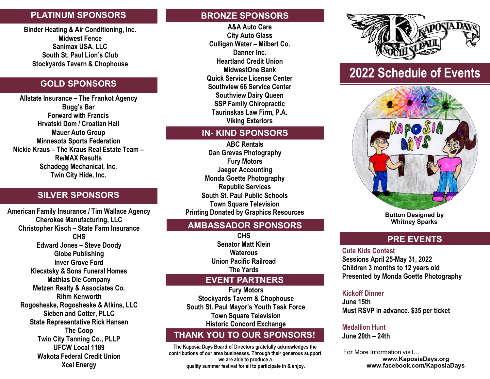## **PLATINUM SPONSORS**

**Binder Heating & Air Conditioning, Inc. Midwest Fence Sanimax USA, LLC South St. Paul Lion's Club Stockyards Tavern & Chophouse**

# **GOLD SPONSORS**

**Allstate Insurance – The Frankot Agency Bugg's Bar Forward with Francis Hrvatski Dom / Croatian Hall Mauer Auto Group Minnesota Sports Federation Nickie Kraus – The Kraus Real Estate Team – Re/MAX Results Schadegg Mechanical, Inc. Twin City Hide, Inc.**

# **SILVER SPONSORS**

**American Family Insurance / Tim Wallace Agency Cherokee Manufacturing, LLC Christopher Kisch – State Farm Insurance CHS Edward Jones – Steve Doody Globe Publishing Inver Grove Ford Klecatsky & Sons Funeral Homes Mathias Die Company Metzen Realty & Associates Co. Rihm Kenworth Rogosheske, Rogosheske & Atkins, LLC Sieben and Cotter, PLLC State Representative Rick Hansen The Coop Twin City Tanning Co., PLLP UFCW Local 1189 Wakota Federal Credit Union Xcel Energy**

### **BRONZE SPONSORS**

**A&A Auto Care City Auto Glass Culligan Water – Milbert Co. Danner Inc. Heartland Credit Union MidwestOne Bank Quick Service License Center Southview 66 Service Center Southview Dairy Queen SSP Family Chiropractic Taurinskas Law Firm, P.A. Viking Exteriors**

### **IN- KIND SPONSORS**

**ABC Rentals Dan Grevas Photography Fury Motors Jaeger Accounting Monda Goette Photography Republic Services South St. Paul Public Schools Town Square Television Printing Donated by Graphics Resources**

### **AMBASSADOR SPONSORS**

**CHS Senator Matt Klein Waterous Union Pacific Railroad The Yards**

### **EVENT PARTNERS**

**Fury Motors Stockyards Tavern & Chophouse South St. Paul Mayor's Youth Task Force Town Square Television Historic Concord Exchange**

# **THANK YOU TO OUR SPONSORS!**

**The Kaposia Days Board of Directors gratefully acknowledges the contributions of our area businesses. Through their generous support we are able to produce a quality summer festival for all to participate in & enjoy.** 



# **2022 Schedule of Events**



**Button Designed by Whitney Sparks** 

# **PRE EVENTS**

**Cute Kids Contest Sessions April 25-May 31, 2022 Children 3 months to 12 years old Presented by Monda Goette Photography** 

#### **Kickoff Dinner**

**June 15th Must RSVP in advance. \$35 per ticket**

# **Medallion Hunt**

**June 20th – 24th** 

For More Information visit… **www.KaposiaDays.org www.facebook.com/KaposiaDays**